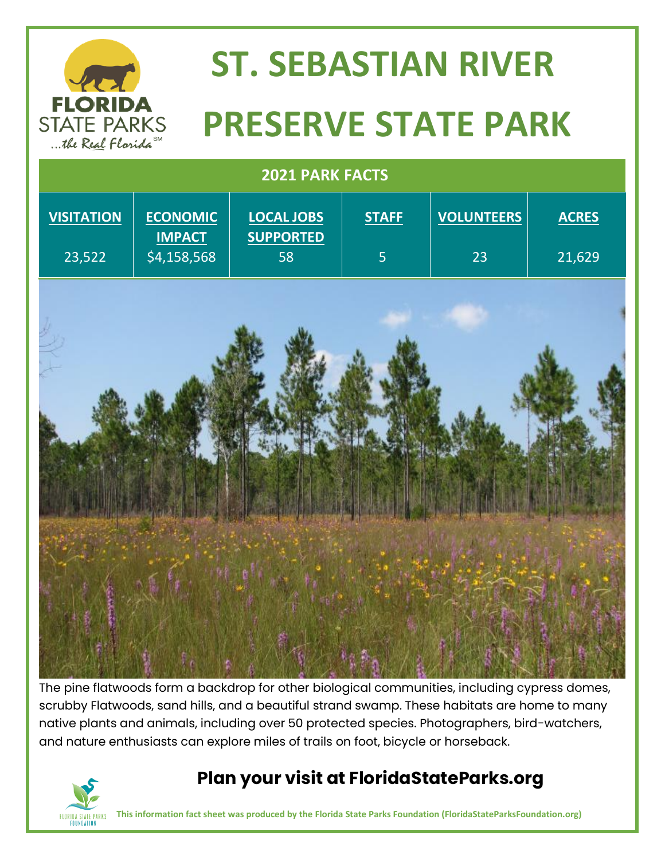

# **ST. SEBASTIAN RIVER**  STATE PARKS **PRESERVE STATE PARK**

| 2021 PARK FACTS             |                                                 |                                             |                                |                         |                        |
|-----------------------------|-------------------------------------------------|---------------------------------------------|--------------------------------|-------------------------|------------------------|
| <b>VISITATION</b><br>23,522 | <b>ECONOMIC</b><br><b>IMPACT</b><br>\$4,158,568 | <b>LOCAL JOBS</b><br><b>SUPPORTED</b><br>58 | <b>STAFF</b><br>$\overline{5}$ | <b>VOLUNTEERS</b><br>23 | <b>ACRES</b><br>21,629 |
|                             |                                                 |                                             |                                |                         |                        |
|                             |                                                 |                                             |                                |                         |                        |
|                             |                                                 |                                             |                                |                         |                        |
|                             |                                                 |                                             |                                |                         |                        |

The pine flatwoods form a backdrop for other biological communities, including cypress domes, scrubby Flatwoods, sand hills, and a beautiful strand swamp. These habitats are home to many native plants and animals, including over 50 protected species. Photographers, bird-watchers, and nature enthusiasts can explore miles of trails on foot, bicycle or horseback.



#### **Plan your visit at FloridaStateParks.org**

**This information fact sheet was produced by the Florida State Parks Foundation (FloridaStateParksFoundation.org)**